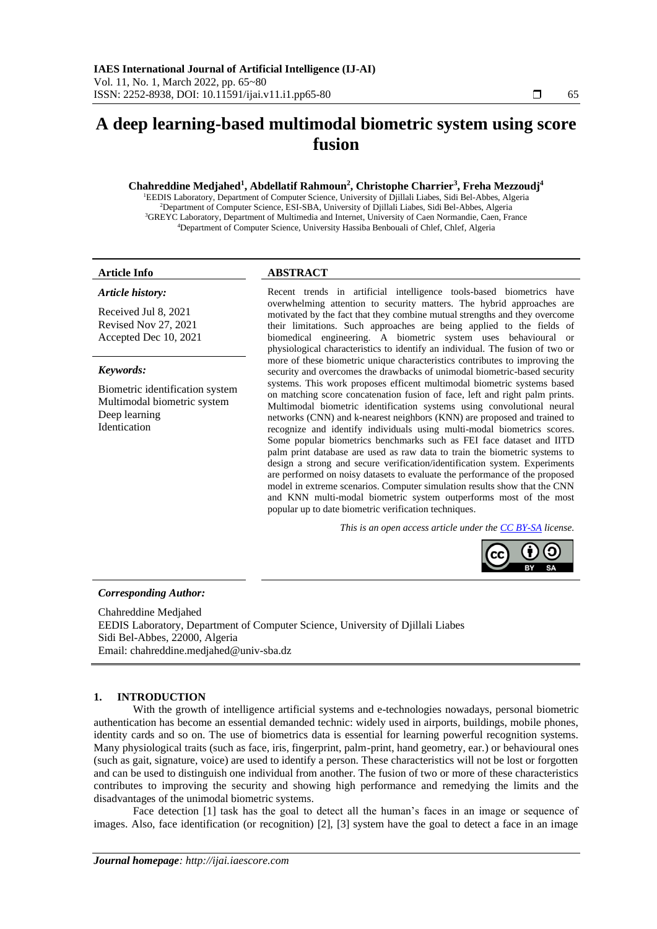# **A deep learning-based multimodal biometric system using score fusion**

# **Chahreddine Medjahed<sup>1</sup> , Abdellatif Rahmoun<sup>2</sup> , Christophe Charrier<sup>3</sup> , Freha Mezzoudj<sup>4</sup>**

EEDIS Laboratory, Department of Computer Science, University of Djillali Liabes, Sidi Bel-Abbes, Algeria Department of Computer Science, ESI-SBA, University of Djillali Liabes, Sidi Bel-Abbes, Algeria <sup>3</sup>GREYC Laboratory, Department of Multimedia and Internet, University of Caen Normandie, Caen, France Department of Computer Science, University Hassiba Benbouali of Chlef, Chlef, Algeria

#### *Article history:*

Received Jul 8, 2021 Revised Nov 27, 2021 Accepted Dec 10, 2021

#### *Keywords:*

Biometric identification system Multimodal biometric system Deep learning Identication

# **Article Info ABSTRACT**

Recent trends in artificial intelligence tools-based biometrics have overwhelming attention to security matters. The hybrid approaches are motivated by the fact that they combine mutual strengths and they overcome their limitations. Such approaches are being applied to the fields of biomedical engineering. A biometric system uses behavioural or physiological characteristics to identify an individual. The fusion of two or more of these biometric unique characteristics contributes to improving the security and overcomes the drawbacks of unimodal biometric-based security systems. This work proposes efficent multimodal biometric systems based on matching score concatenation fusion of face, left and right palm prints. Multimodal biometric identification systems using convolutional neural networks (CNN) and k-nearest neighbors (KNN) are proposed and trained to recognize and identify individuals using multi-modal biometrics scores. Some popular biometrics benchmarks such as FEI face dataset and IITD palm print database are used as raw data to train the biometric systems to design a strong and secure verification/identification system. Experiments are performed on noisy datasets to evaluate the performance of the proposed model in extreme scenarios. Computer simulation results show that the CNN and KNN multi-modal biometric system outperforms most of the most popular up to date biometric verification techniques.

*This is an open access article under th[e CC BY-SA](https://creativecommons.org/licenses/by-sa/4.0/) license.*



# *Corresponding Author:*

Chahreddine Medjahed EEDIS Laboratory, Department of Computer Science, University of Djillali Liabes Sidi Bel-Abbes, 22000, Algeria Email: chahreddine.medjahed@univ-sba.dz

#### **1. INTRODUCTION**

With the growth of intelligence artificial systems and e-technologies nowadays, personal biometric authentication has become an essential demanded technic: widely used in airports, buildings, mobile phones, identity cards and so on. The use of biometrics data is essential for learning powerful recognition systems. Many physiological traits (such as face, iris, fingerprint, palm-print, hand geometry, ear.) or behavioural ones (such as gait, signature, voice) are used to identify a person. These characteristics will not be lost or forgotten and can be used to distinguish one individual from another. The fusion of two or more of these characteristics contributes to improving the security and showing high performance and remedying the limits and the disadvantages of the unimodal biometric systems.

Face detection [1] task has the goal to detect all the human's faces in an image or sequence of images. Also, face identification (or recognition) [2], [3] system have the goal to detect a face in an image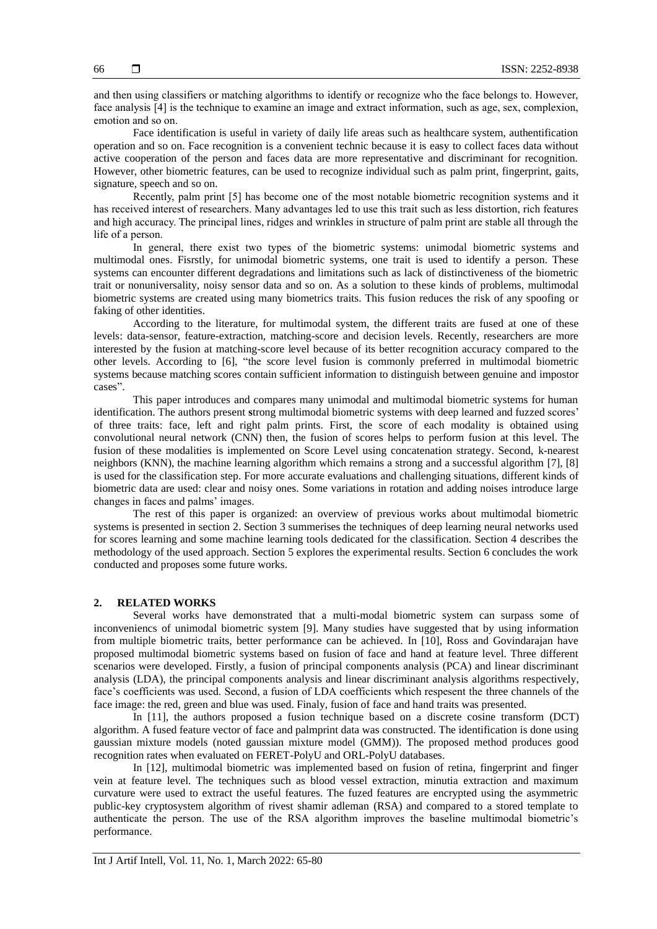and then using classifiers or matching algorithms to identify or recognize who the face belongs to. However, face analysis [4] is the technique to examine an image and extract information, such as age, sex, complexion, emotion and so on.

Face identification is useful in variety of daily life areas such as healthcare system, authentification operation and so on. Face recognition is a convenient technic because it is easy to collect faces data without active cooperation of the person and faces data are more representative and discriminant for recognition. However, other biometric features, can be used to recognize individual such as palm print, fingerprint, gaits, signature, speech and so on.

Recently, palm print [5] has become one of the most notable biometric recognition systems and it has received interest of researchers. Many advantages led to use this trait such as less distortion, rich features and high accuracy. The principal lines, ridges and wrinkles in structure of palm print are stable all through the life of a person.

In general, there exist two types of the biometric systems: unimodal biometric systems and multimodal ones. Fisrstly, for unimodal biometric systems, one trait is used to identify a person. These systems can encounter different degradations and limitations such as lack of distinctiveness of the biometric trait or nonuniversality, noisy sensor data and so on. As a solution to these kinds of problems, multimodal biometric systems are created using many biometrics traits. This fusion reduces the risk of any spoofing or faking of other identities.

According to the literature, for multimodal system, the different traits are fused at one of these levels: data-sensor, feature-extraction, matching-score and decision levels. Recently, researchers are more interested by the fusion at matching-score level because of its better recognition accuracy compared to the other levels. According to [6], "the score level fusion is commonly preferred in multimodal biometric systems because matching scores contain sufficient information to distinguish between genuine and impostor cases".

This paper introduces and compares many unimodal and multimodal biometric systems for human identification. The authors present **s**trong multimodal biometric systems with deep learned and fuzzed scores' of three traits: face, left and right palm prints. First, the score of each modality is obtained using convolutional neural network (CNN) then, the fusion of scores helps to [perform fusion at this level. The](https://en.wikipedia.org/wiki/K-nearest_neighbors_algorithm)  [fusion of these modalities is implemented on Score Level using concatenation strategy. Second, k-nearest](https://en.wikipedia.org/wiki/K-nearest_neighbors_algorithm)  neighbors [\(KNN\), the machine learning algorithm which remains a strong and a successful algorithm \[7\], \[8\]](https://en.wikipedia.org/wiki/K-nearest_neighbors_algorithm) [is used for the classification step. F](https://en.wikipedia.org/wiki/K-nearest_neighbors_algorithm)or more accurate evaluations and challenging situations, different kinds of biometric data are used: clear and noisy ones. Some variations in rotation and adding noises introduce large changes in faces and palms' images.

The rest of this paper is organized: an overview of previous works about multimodal biometric systems is presented in section 2. Section 3 summerises the techniques of deep learning neural networks used for scores learning and some machine learning tools dedicated for the classification. Section 4 describes the methodology of the used approach. Section 5 explores the experimental results. Section 6 concludes the work conducted and proposes some future works.

#### **2. RELATED WORKS**

Several works have demonstrated that a multi-modal biometric system can surpass some of inconveniencs of unimodal biometric system [9]. Many studies have suggested that by using information from multiple biometric traits, better performance can be achieved. In [10], Ross and Govindarajan have proposed multimodal biometric systems based on fusion of face and hand at feature level. Three different scenarios were developed. Firstly, a fusion of principal components analysis (PCA) and linear discriminant analysis (LDA), the [principal components analysis](https://en.wikipedia.org/wiki/Principal_components_analysis) and [linear discriminant analysis](https://scholar.google.com/scholar?q=Linear+Discriminant+Analysis&hl=ar&as_sdt=0&as_vis=1&oi=scholart) algorithms respectively, face's coefficients was used. Second, a fusion of LDA coefficients which respesent the three channels of the face image: the red, green and blue was used. Finaly, fusion of face and hand traits was presented.

In [11], the authors proposed a fusion technique based on a discrete cosine transform (DCT) algorithm. A fused feature vector of face and palmprint data was constructed. The identification is done using gaussian mixture models (noted gaussian mixture model (GMM)). The proposed method produces good recognition rates when evaluated on FERET-PolyU and ORL-PolyU databases.

In [12], multimodal biometric was implemented based on fusion of retina, fingerprint and finger vein at feature level. The techniques such as blood vessel extraction, minutia extraction and maximum curvature were used to extract the useful features. The fuzed features are encrypted using the asymmetric public-key cryptosystem algorithm of rivest shamir adleman (RSA) and compared to a stored template to authenticate the person. The use of the RSA algorithm improves the baseline multimodal biometric's performance.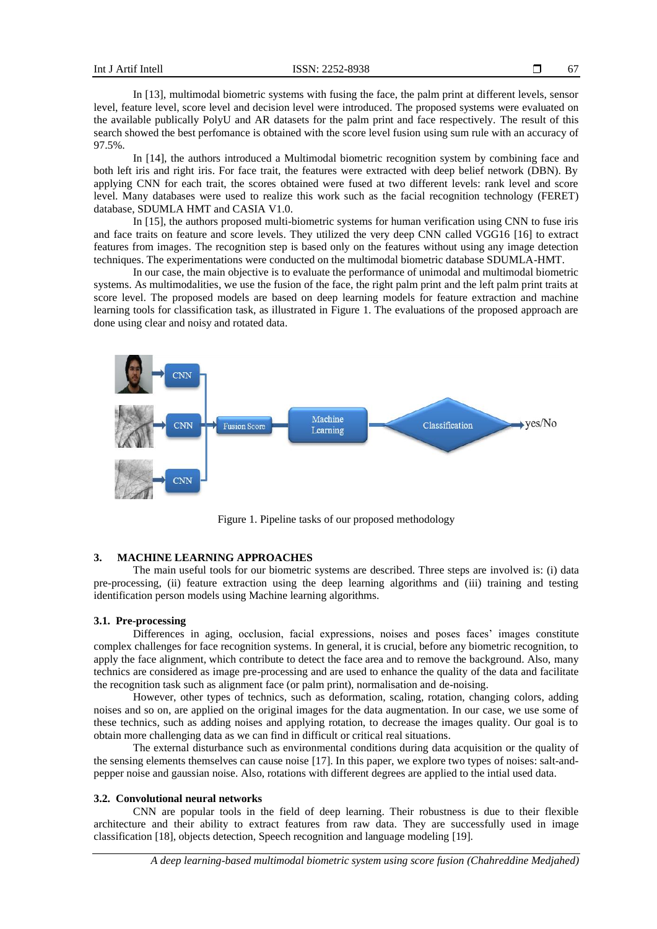In [13], multimodal biometric systems with fusing the face, the palm print at different levels, sensor level, feature level, score level and decision level were introduced. The proposed systems were evaluated on the available publically PolyU and AR datasets for the palm print and face respectively. The result of this search showed the best perfomance is obtained with the score level fusion using sum rule with an accuracy of 97.5%.

In [14], the authors introduced a Multimodal biometric recognition system by combining face and both left iris and right iris. For face trait, the features were extracted with deep belief network (DBN). By applying CNN for each trait, the scores obtained were fused at two different levels: rank level and score level. Many databases were used to realize this work such as the facial recognition technology (FERET) database, SDUMLA HMT and CASIA V1.0.

In [15], the authors proposed multi-biometric systems for human verification using CNN to fuse iris and face traits on feature and score levels. They utilized the very deep CNN called VGG16 [16] to extract features from images. The recognition step is based only on the features without using any image detection techniques. The experimentations were conducted on the multimodal biometric database SDUMLA-HMT.

In our case, the main objective is to evaluate the performance of unimodal and multimodal biometric systems. As multimodalities, we use the fusion of the face, the right palm print and the left palm print traits at score level. The proposed models are based on deep learning models for feature extraction and machine learning tools for classification task, as illustrated in Figure 1. The evaluations of the proposed approach are done using clear and noisy and rotated data.



Figure 1. Pipeline tasks of our proposed methodology

### **3. MACHINE LEARNING APPROACHES**

The main useful tools for our biometric systems are described. Three steps are involved is: (i) data pre-processing, (ii) feature extraction using the deep learning algorithms and (iii) training and testing identification person models using Machine learning algorithms.

#### **3.1. Pre-processing**

Differences in aging, occlusion, facial expressions, noises and poses faces' images constitute complex challenges for face recognition systems. In general, it is crucial, before any biometric recognition, to apply the face alignment, which contribute to detect the face area and to remove the background. Also, many technics are considered as image pre-processing and are used to enhance the quality of the data and facilitate the recognition task such as alignment face (or palm print), normalisation and de-noising.

However, other types of technics, such as deformation, scaling, rotation, changing colors, adding noises and so on, are applied on the original images for the data augmentation. In our case, we use some of these technics, such as adding noises and applying rotation, to decrease the images quality. Our goal is to obtain more challenging data as we can find in difficult or critical real situations.

The external disturbance such as environmental conditions during data acquisition or the quality of the sensing elements themselves can cause noise [17]. In this paper, we explore two types of noises: salt-andpepper noise and gaussian noise. Also, rotations with different degrees are applied to the intial used data.

#### **3.2. Convolutional neural networks**

CNN are popular tools in the field of deep learning. Their robustness is due to their flexible architecture and their ability to extract features from raw data. They are successfully used in image classification [18], objects detection, Speech recognition and language modeling [19].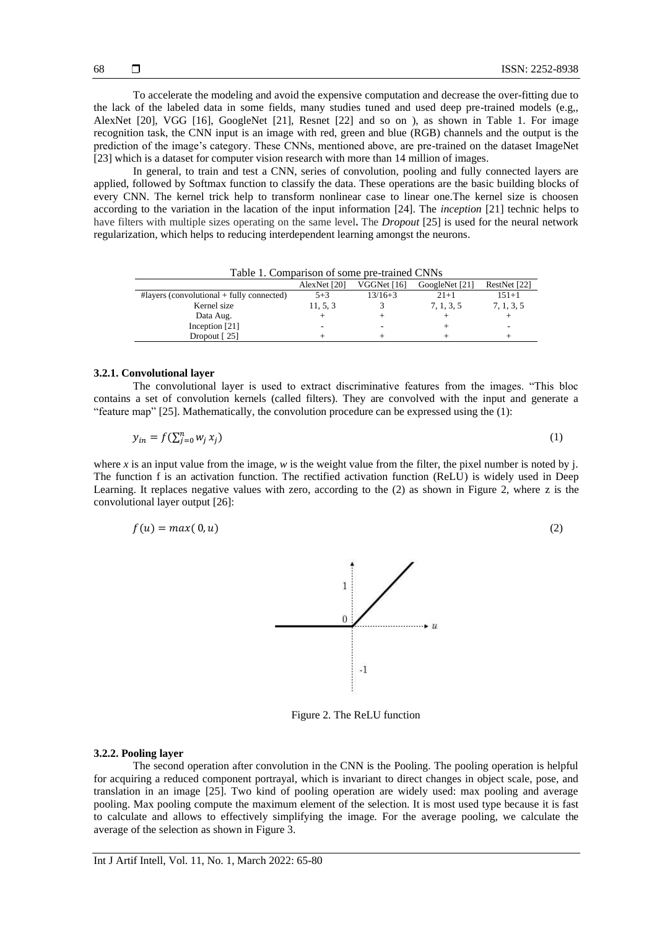To accelerate the modeling and avoid the expensive computation and decrease the over-fitting due to the lack of the labeled data in some fields, many studies tuned and used deep pre-trained models (e.g,, AlexNet [20], VGG [16], GoogleNet [21], Resnet [22] and so on ), as shown in Table 1. For image recognition task, the CNN input is an image with red, green and blue (RGB) channels and the output is the prediction of the image's category. These CNNs, mentioned above, are pre-trained on the dataset ImageNet [23] which is a dataset for computer vision research with more than 14 million of images.

In general, to train and test a CNN, series of convolution, pooling and fully connected layers are applied, followed by Softmax function to classify the data. These operations are the basic building blocks of every CNN. The kernel trick help to transform nonlinear case to linear one.The kernel size is choosen according to the variation in the lacation of the input information [24]. The *inception* [21] technic helps to have filters with multiple sizes operating on the same level**.** The *Dropout* [25] is used for the neural network regularization, which helps to reducing interdependent learning amongst the neurons.

| Table 1. Comparison of some pre-trained Civitys |              |             |                |              |  |  |
|-------------------------------------------------|--------------|-------------|----------------|--------------|--|--|
|                                                 | AlexNet [20] | VGGNet [16] | GoogleNet [21] | RestNet [22] |  |  |
| $\#layers$ (convolutional + fully connected)    | $5 + 3$      | $13/16+3$   | $21+1$         | $151 + 1$    |  |  |
| Kernel size                                     | 11, 5, 3     |             | 7, 1, 3, 5     | 7, 1, 3, 5   |  |  |
| Data Aug.                                       |              |             |                |              |  |  |
| Inception [21]                                  | -            |             |                |              |  |  |
| Dropout $\lceil 25 \rceil$                      |              |             |                |              |  |  |

Table 1. Comparison of some pre-trained CNNs

#### **3.2.1. Convolutional layer**

The convolutional layer is used to extract discriminative features from the images. "This bloc contains a set of convolution kernels (called filters). They are convolved with the input and generate a "feature map" [25]. Mathematically, the convolution procedure can be expressed using the (1):

$$
y_{in} = f(\sum_{j=0}^{n} w_j x_j)
$$
 (1)

where *x* is an input value from the image, *w* is the weight value from the filter, the pixel number is noted by j. The function f is an activation function. The rectified activation function (ReLU) is widely used in Deep Learning. It replaces negative values with zero, according to the (2) as shown in Figure 2, where z is the convolutional layer output [26]:

$$
f(u) = max(0, u) \tag{2}
$$



Figure 2. The ReLU function

# **3.2.2. Pooling layer**

The second operation after convolution in the CNN is the Pooling. The pooling operation is helpful for acquiring a reduced component portrayal, which is invariant to direct changes in object scale, pose, and translation in an image [25]. Two kind of pooling operation are widely used: max pooling and average pooling. Max pooling compute the maximum element of the selection. It is most used type because it is fast to calculate and allows to effectively simplifying the image. For the average pooling, we calculate the average of the selection as shown in Figure 3.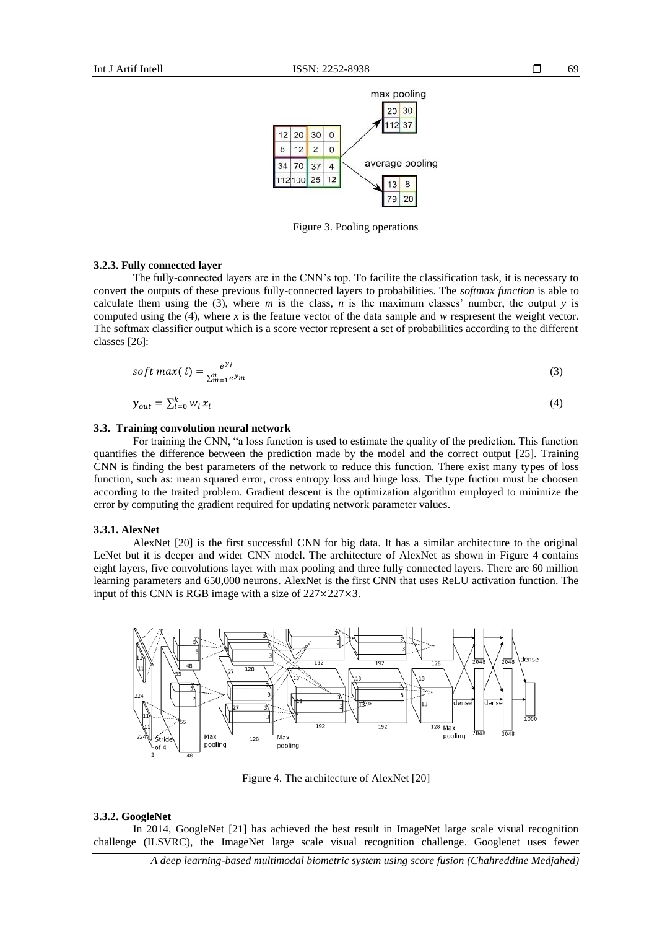

Figure 3. Pooling operations

#### **3.2.3. Fully connected layer**

The fully-connected layers are in the CNN's top. To facilite the classification task, it is necessary to convert the outputs of these previous fully-connected layers to probabilities. The *softmax function* is able to calculate them using the (3), where  $m$  is the class,  $n$  is the maximum classes' number, the output  $y$  is computed using the (4), where *x* is the feature vector of the data sample and *w* respresent the weight vector. The softmax classifier output which is a score vector represent a set of probabilities according to the different classes [26]:

$$
soft \, max(i) = \frac{e^{y_i}}{\sum_{m=1}^{n} e^{y_m}}
$$
\n
$$
\tag{3}
$$

$$
y_{out} = \sum_{l=0}^{k} w_l x_l \tag{4}
$$

### **3.3. Training convolution neural network**

For training the CNN, "a loss function is used to estimate the quality of the prediction. This function quantifies the difference between the prediction made by the model and the correct output [25]. Training CNN is finding the best parameters of the network to reduce this function. There exist many types of loss function, such as: mean squared error, cross entropy loss and hinge loss. The type fuction must be choosen according to the traited problem. Gradient descent is the optimization algorithm employed to minimize the error by computing the gradient required for updating network parameter values.

#### **3.3.1. AlexNet**

AlexNet [20] is the first successful CNN for big data. It has a similar architecture to the original LeNet but it is deeper and wider CNN model. The architecture of AlexNet as shown in Figure 4 contains eight layers, five convolutions layer with max pooling and three fully connected layers. There are 60 million learning parameters and 650,000 neurons. AlexNet is the first CNN that uses ReLU activation function. The input of this CNN is RGB image with a size of 227×227×3.



Figure 4. The architecture of AlexNet [20]

#### **3.3.2. GoogleNet**

In 2014, GoogleNet [21] has achieved the best result in ImageNet large scale visual recognition challenge (ILSVRC), the ImageNet large scale visual recognition challenge. Googlenet uses fewer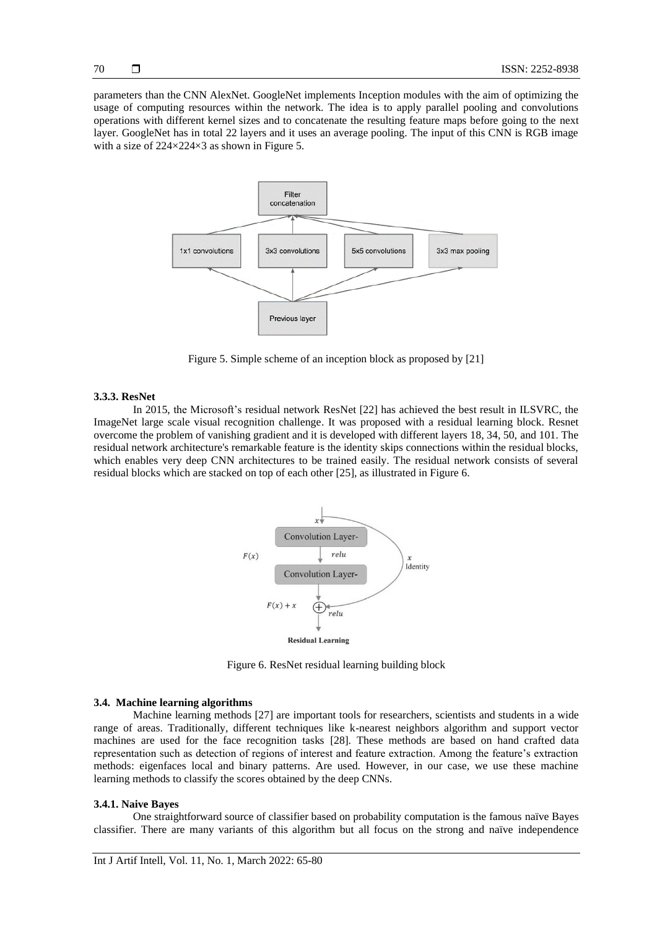parameters than the CNN AlexNet. GoogleNet implements Inception modules with the aim of optimizing the usage of computing resources within the network. The idea is to apply parallel pooling and convolutions operations with different kernel sizes and to concatenate the resulting feature maps before going to the next layer. GoogleNet has in total 22 layers and it uses an average pooling. The input of this CNN is RGB image with a size of  $224\times224\times3$  as shown in Figure 5.



Figure 5. Simple scheme of an inception block as proposed by [21]

#### **3.3.3. ResNet**

In 2015, the Microsoft's residual network ResNet [22] has achieved the best result in ILSVRC, the ImageNet large scale visual recognition challenge. It was proposed with a residual learning block. Resnet overcome the problem of vanishing gradient and it is developed with different layers 18, 34, 50, and 101. The residual network architecture's remarkable feature is the identity skips connections within the residual blocks, which enables very deep CNN architectures to be trained easily. The residual network consists of several residual blocks which are stacked on top of each other [25], as illustrated in Figure 6.



Figure 6. ResNet residual learning building block

#### **3.4. Machine learning algorithms**

Machine learning methods [27] are important tools for researchers, scientists and students in a wide range of areas. Traditionally, different techniques like k-nearest neighbors algorithm and support vector machines are used for the face recognition tasks [28]. These methods are based on hand crafted data representation such as detection of regions of interest and feature extraction. Among the feature's extraction methods: eigenfaces local and binary patterns. Are used. However, in our case, we use these machine learning methods to classify the scores obtained by the deep CNNs.

#### **3.4.1. Naive Bayes**

One straightforward source of classifier based on probability computation is the famous naïve Bayes classifier. There are many variants of this algorithm but all focus on the strong and naïve [independence](https://en.wikipedia.org/wiki/Statistical_independence)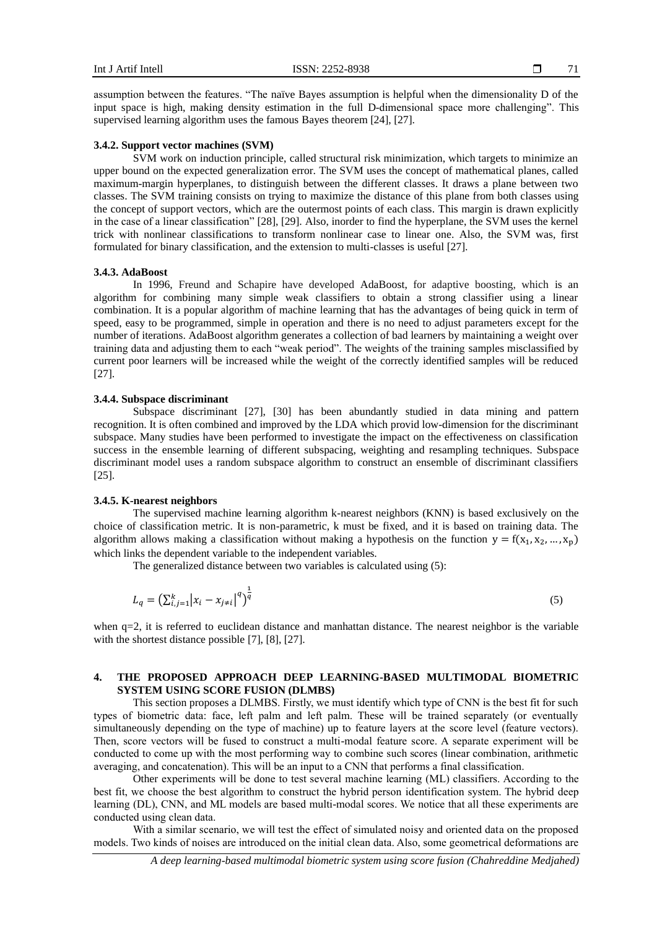assumption between the features. "The naïve Bayes assumption is helpful when the dimensionality D of the input space is high, making density estimation in the full D-dimensional space more challenging". This supervised learning algorithm uses the famous Bayes theorem [24], [27].

#### **3.4.2. Support vector machines (SVM)**

SVM work on induction principle, called structural risk minimization, which targets to minimize an upper bound on the expected generalization error. The SVM uses the concept of mathematical planes, called maximum-margin hyperplanes, to distinguish between the different classes. It draws a plane between two classes. The SVM training consists on trying to maximize the distance of this plane from both classes using the concept of support vectors, which are the outermost points of each class. This margin is drawn explicitly in the case of a linear classification" [28], [29]. Also, inorder to find the hyperplane, the SVM uses the kernel trick with nonlinear classifications to transform nonlinear case to linear one. Also, the SVM was, first formulated for binary classification, and the extension to multi-classes is useful [27].

#### **3.4.3. AdaBoost**

In 1996, Freund and Schapire have developed AdaBoost, for adaptive boosting, which is an algorithm for combining many simple weak classifiers to obtain a strong classifier using a linear combination. It is a popular algorithm of machine learning that has the advantages of being quick in term of speed, easy to be programmed, simple in operation and there is no need to adjust parameters except for the number of iterations. AdaBoost algorithm generates a collection of bad learners by maintaining a weight over training data and adjusting them to each "weak period". The weights of the training samples misclassified by current poor learners will be increased while the weight of the correctly identified samples will be reduced [27].

#### **3.4.4. Subspace discriminant**

Subspace discriminant [27], [30] has been abundantly studied in data mining and pattern recognition. It is often combined and improved by the LDA which provid low-dimension for the discriminant subspace. Many studies have been performed to investigate the impact on the effectiveness on classification success in the ensemble learning of different subspacing, weighting and resampling techniques. Subspace discriminant model uses a random subspace algorithm to construct an ensemble of discriminant classifiers [25].

# **3.4.5. K-nearest neighbors**

The supervised machine learning algorithm k-nearest neighbors (KNN) is based exclusively on the choice of classification metric. It is non-parametric, k must be fixed, and it is based on training data. The algorithm allows making a classification without making a hypothesis on the function  $y = f(x_1, x_2, ..., x_n)$ which links the dependent variable to the independent variables.

The generalized distance between two variables is calculated using (5):

$$
L_q = \left(\sum_{i,j=1}^k |x_i - x_{j\neq i}|^q\right)^{\frac{1}{q}}
$$
\n(5)

when q=2, it is referred to euclidean distance and manhattan distance. The nearest neighbor is the variable with the shortest distance possible [7], [8], [27].

# **4. THE PROPOSED APPROACH DEEP LEARNING-BASED MULTIMODAL BIOMETRIC SYSTEM USING SCORE FUSION (DLMBS)**

This section proposes a DLMBS. Firstly, we must identify which type of CNN is the best fit for such types of biometric data: face, left palm and left palm. These will be trained separately (or eventually simultaneously depending on the type of machine) up to feature layers at the score level (feature vectors). Then, score vectors will be fused to construct a multi-modal feature score. A separate experiment will be conducted to come up with the most performing way to combine such scores (linear combination, arithmetic averaging, and concatenation). This will be an input to a CNN that performs a final classification.

Other experiments will be done to test several machine learning (ML) classifiers. According to the best fit, we choose the best algorithm to construct the hybrid person identification system. The hybrid deep learning (DL), CNN, and ML models are based multi-modal scores. We notice that all these experiments are conducted using clean data.

With a similar scenario, we will test the effect of simulated noisy and oriented data on the proposed models. Two kinds of noises are introduced on the initial clean data. Also, some geometrical deformations are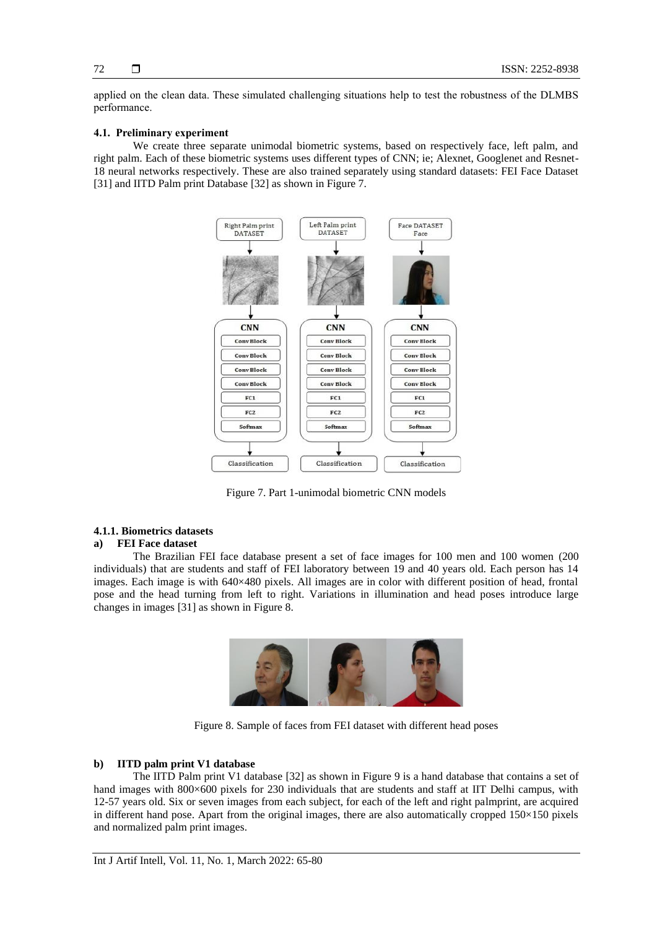applied on the clean data. These simulated challenging situations help to test the robustness of the DLMBS performance.

# **4.1. Preliminary experiment**

We create three separate unimodal biometric systems, based on respectively face, left palm, and right palm. Each of these biometric systems uses different types of CNN; ie; Alexnet, Googlenet and Resnet-18 neural networks respectively. These are also trained separately using standard datasets: FEI Face Dataset [31] and IITD Palm print Database [32] as shown in Figure 7.



Figure 7. Part 1-unimodal biometric CNN models

# **4.1.1. Biometrics datasets**

#### **a) FEI Face dataset**

The Brazilian FEI face database present a set of face images for 100 men and 100 women (200 individuals) that are students and staff of FEI laboratory between 19 and 40 years old. Each person has 14 images. Each image is with 640×480 pixels. All images are in color with different position of head, frontal pose and the head turning from left to right. Variations in illumination and head poses introduce large changes in images [31] as shown in Figure 8.



Figure 8. Sample of faces from FEI dataset with different head poses

#### **b) IITD palm print V1 database**

The IITD Palm print V1 database [32] as shown in Figure 9 is a hand database that contains a set of hand images with 800×600 pixels for 230 individuals that are students and staff at IIT Delhi campus, with 12-57 years old. Six or seven images from each subject, for each of the left and right palmprint, are acquired in different hand pose. Apart from the original images, there are also automatically cropped  $150\times150$  pixels and normalized palm print images.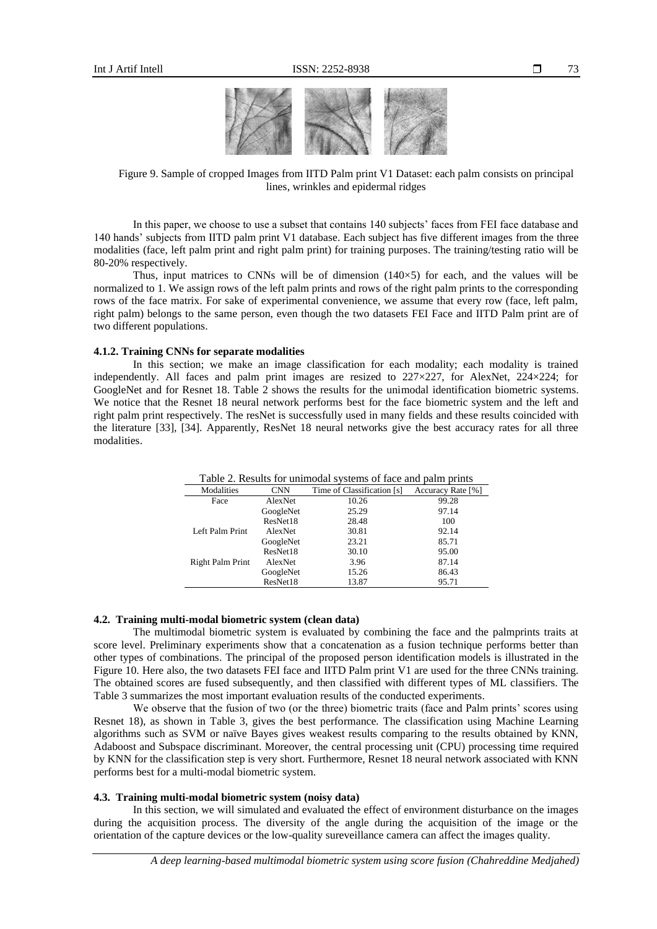

Figure 9. Sample of cropped Images from IITD Palm print V1 Dataset: each palm consists on principal lines, wrinkles and epidermal ridges

In this paper, we choose to use a subset that contains 140 subjects' faces from FEI face database and 140 hands' subjects from IITD palm print V1 database. Each subject has five different images from the three modalities (face, left palm print and right palm print) for training purposes. The training/testing ratio will be 80-20% respectively.

Thus, input matrices to CNNs will be of dimension  $(140\times5)$  for each, and the values will be normalized to 1. We assign rows of the left palm prints and rows of the right palm prints to the corresponding rows of the face matrix. For sake of experimental convenience, we assume that every row (face, left palm, right palm) belongs to the same person, even though the two datasets FEI Face and IITD Palm print are of two different populations.

#### **4.1.2. Training CNNs for separate modalities**

In this section; we make an image classification for each modality; each modality is trained independently. All faces and palm print images are resized to  $227 \times 227$ , for AlexNet,  $224 \times 224$ ; for GoogleNet and for Resnet 18. Table 2 shows the results for the unimodal identification biometric systems. We notice that the Resnet 18 neural network performs best for the face biometric system and the left and right palm print respectively. The resNet is successfully used in many fields and these results coincided with the literature [33], [34]. Apparently, ResNet 18 neural networks give the best accuracy rates for all three modalities.

| Tuble 2: Results for unimously stems of face and paint prints |            |                            |                   |  |  |  |
|---------------------------------------------------------------|------------|----------------------------|-------------------|--|--|--|
| Modalities                                                    | <b>CNN</b> | Time of Classification [s] | Accuracy Rate [%] |  |  |  |
| Face                                                          | AlexNet    | 10.26                      | 99.28             |  |  |  |
|                                                               | GoogleNet  | 25.29                      | 97.14             |  |  |  |
|                                                               | ResNet18   | 28.48                      | 100               |  |  |  |
| Left Palm Print                                               | AlexNet    | 30.81                      | 92.14             |  |  |  |
|                                                               | GoogleNet  | 23.21                      | 85.71             |  |  |  |
|                                                               | ResNet18   | 30.10                      | 95.00             |  |  |  |
| Right Palm Print                                              | AlexNet    | 3.96                       | 87.14             |  |  |  |
|                                                               | GoogleNet  | 15.26                      | 86.43             |  |  |  |
|                                                               | ResNet18   | 13.87                      | 95.71             |  |  |  |

Table 2. Results for unimodal systems of face and palm prints

#### **4.2. Training multi-modal biometric system (clean data)**

The multimodal biometric system is evaluated by combining the face and the palmprints traits at score level. Preliminary experiments show that a concatenation as a fusion technique performs better than other types of combinations. The principal of the proposed person identification models is illustrated in the Figure 10. Here also, the two datasets FEI face and IITD Palm print V1 are used for the three CNNs training. The obtained scores are fused subsequently, and then classified with different types of ML classifiers. The Table 3 summarizes the most important evaluation results of the conducted experiments.

We observe that the fusion of two (or the three) biometric traits (face and Palm prints' scores using Resnet 18), as shown in Table 3, gives the best performance. The classification using Machine Learning algorithms such as SVM or naïve Bayes gives weakest results comparing to the results obtained by KNN, Adaboost and Subspace discriminant. Moreover, the central processing unit (CPU) processing time required by KNN for the classification step is very short. Furthermore, Resnet 18 neural network associated with KNN performs best for a multi-modal biometric system.

#### **4.3. Training multi-modal biometric system (noisy data)**

In this section, we will simulated and evaluated the effect of environment disturbance on the images during the acquisition process. The diversity of the angle during the acquisition of the image or the orientation of the capture devices or the low-quality sureveillance camera can affect the images quality.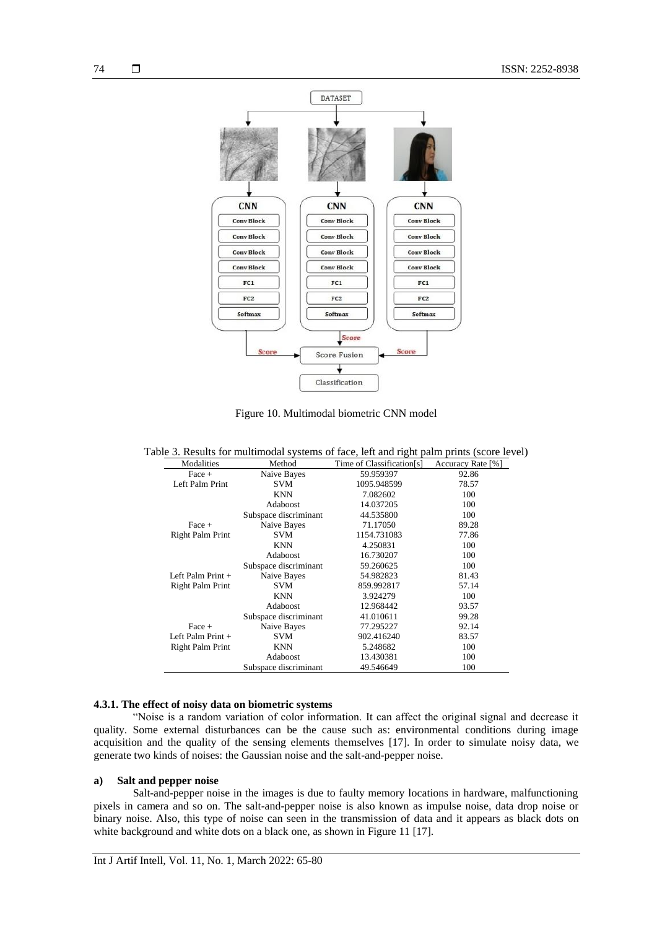

Figure 10. Multimodal biometric CNN model

| Table 3. Results for multimodal systems of face, left and right palm prints (score level) |  |  |  |  |  |  |  |
|-------------------------------------------------------------------------------------------|--|--|--|--|--|--|--|
|                                                                                           |  |  |  |  |  |  |  |

| Modalities          | Method                | Time of Classification[s] | Accuracy Rate [%] |
|---------------------|-----------------------|---------------------------|-------------------|
| $Face +$            | Naive Bayes           | 59.959397                 | 92.86             |
| Left Palm Print     | <b>SVM</b>            | 1095.948599               | 78.57             |
|                     | <b>KNN</b>            | 7.082602                  | 100               |
|                     | Adaboost              | 14.037205                 | 100               |
|                     | Subspace discriminant | 44.535800                 | 100               |
| Face +              | Naive Bayes           | 71.17050                  | 89.28             |
| Right Palm Print    | <b>SVM</b>            | 1154.731083               | 77.86             |
|                     | <b>KNN</b>            | 4.250831                  | 100               |
|                     | Adaboost              | 16.730207                 | 100               |
|                     | Subspace discriminant | 59.260625                 | 100               |
| Left Palm Print $+$ | Naive Bayes           | 54.982823                 | 81.43             |
| Right Palm Print    | <b>SVM</b>            | 859.992817                | 57.14             |
|                     | <b>KNN</b>            | 3.924279                  | 100               |
|                     | Adaboost              | 12.968442                 | 93.57             |
|                     | Subspace discriminant | 41.010611                 | 99.28             |
| $Face +$            | Naive Bayes           | 77.295227                 | 92.14             |
| Left Palm Print $+$ | <b>SVM</b>            | 902.416240                | 83.57             |
| Right Palm Print    | <b>KNN</b>            | 5.248682                  | 100               |
|                     | Adaboost              | 13.430381                 | 100               |
|                     | Subspace discriminant | 49.546649                 | 100               |

# **4.3.1. The effect of noisy data on biometric systems**

"Noise is a random variation of color information. It can affect the original signal and decrease it quality. Some external disturbances can be the cause such as: environmental conditions during image acquisition and the quality of the sensing elements themselves [17]. In order to simulate noisy data, we generate two kinds of noises: the Gaussian noise and the salt-and-pepper noise.

# **a) Salt and pepper noise**

Salt-and-pepper noise in the images is due to faulty memory locations in hardware, malfunctioning pixels in camera and so on. The salt-and-pepper noise is also known as impulse noise, data drop noise or binary noise. Also, this type of noise can seen in the transmission of data and it appears as black dots on white background and white dots on a black one, as shown in Figure 11 [17].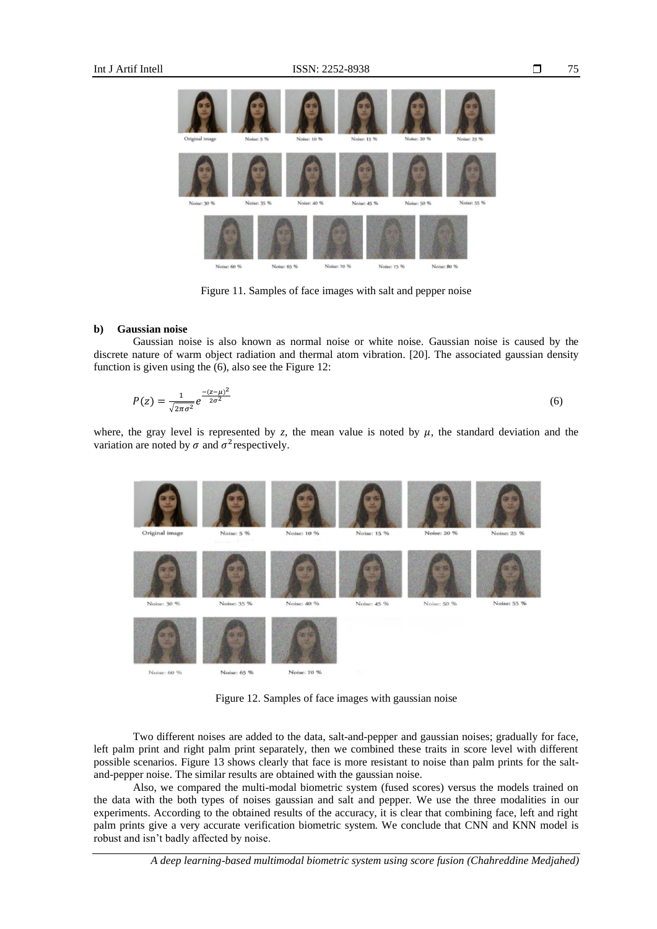

Figure 11. Samples of face images with salt and pepper noise

#### **b) Gaussian noise**

Gaussian noise is also known as normal noise or white noise. Gaussian noise is caused by the discrete nature of warm object radiation and thermal atom vibration. [20]. The associated gaussian density function is given using the (6), also see the Figure 12:

$$
P(z) = \frac{1}{\sqrt{2\pi\sigma^2}} e^{\frac{-(z-\mu)^2}{2\sigma^2}}
$$
(6)

where, the gray level is represented by  $z$ , the mean value is noted by  $\mu$ , the standard deviation and the variation are noted by  $\sigma$  and  $\sigma^2$  respectively.



Figure 12. Samples of face images with gaussian noise

Two different noises are added to the data, salt-and-pepper and gaussian noises; gradually for face, left palm print and right palm print separately, then we combined these traits in score level with different possible scenarios. Figure 13 shows clearly that face is more resistant to noise than palm prints for the saltand-pepper noise. The similar results are obtained with the gaussian noise.

Also, we compared the multi-modal biometric system (fused scores) versus the models trained on the data with the both types of noises gaussian and salt and pepper. We use the three modalities in our experiments. According to the obtained results of the accuracy, it is clear that combining face, left and right palm prints give a very accurate verification biometric system. We conclude that CNN and KNN model is robust and isn't badly affected by noise.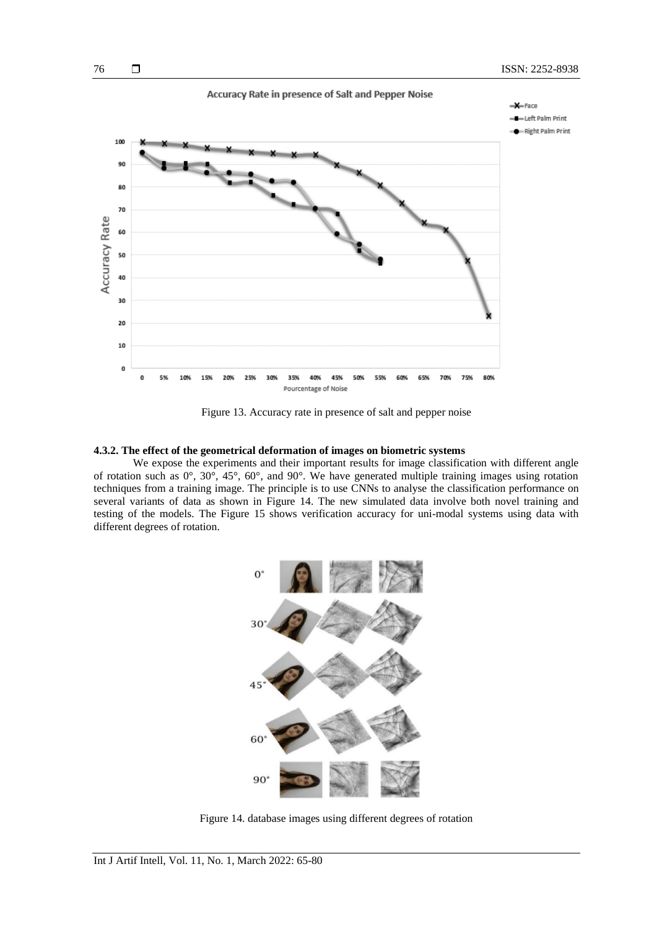

Figure 13. Accuracy rate in presence of salt and pepper noise

#### **4.3.2. The effect of the geometrical deformation of images on biometric systems**

We expose the experiments and their important results for image classification with different angle of rotation such as 0°, 30°, 45°, 60°, and 90°. We have generated multiple training images using rotation techniques from a training image. The principle is to use CNNs to analyse the classification performance on several variants of data as shown in Figure 14. The new simulated data involve both novel training and testing of the models. The Figure 15 shows verification accuracy for uni-modal systems using data with different degrees of rotation.



Figure 14. database images using different degrees of rotation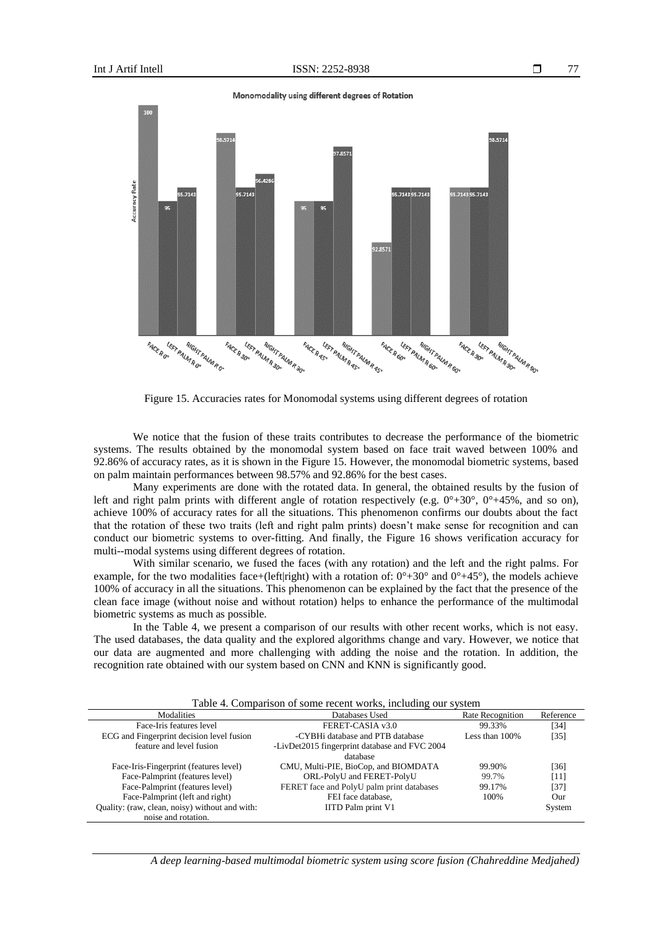

Figure 15. Accuracies rates for Monomodal systems using different degrees of rotation

We notice that the fusion of these traits contributes to decrease the performance of the biometric systems. The results obtained by the monomodal system based on face trait waved between 100% and 92.86% of accuracy rates, as it is shown in the Figure 15. However, the monomodal biometric systems, based on palm maintain performances between 98.57% and 92.86% for the best cases.

Many experiments are done with the rotated data. In general, the obtained results by the fusion of left and right palm prints with different angle of rotation respectively (e.g.  $0^{\circ}+30^{\circ}$ ,  $0^{\circ}+45^{\circ}$ ), and so on), achieve 100% of accuracy rates for all the situations. This phenomenon confirms our doubts about the fact that the rotation of these two traits (left and right palm prints) doesn't make sense for recognition and can conduct our biometric systems to over-fitting. And finally, the Figure 16 shows verification accuracy for multi--modal systems using different degrees of rotation.

With similar scenario, we fused the faces (with any rotation) and the left and the right palms. For example, for the two modalities face+(left|right) with a rotation of:  $0^{\circ}+30^{\circ}$  and  $0^{\circ}+45^{\circ}$ ), the models achieve 100% of accuracy in all the situations. This phenomenon can be explained by the fact that the presence of the clean face image (without noise and without rotation) helps to enhance the performance of the multimodal biometric systems as much as possible.

In the Table 4, we present a comparison of our results with other recent works, which is not easy. The used databases, the data quality and the explored algorithms change and vary. However, we notice that our data are augmented and more challenging with adding the noise and the rotation. In addition, the recognition rate obtained with our system based on CNN and KNN is significantly good.

| Table 4. Comparison of some recent works, including our system |  |  |  |
|----------------------------------------------------------------|--|--|--|
|                                                                |  |  |  |

| Table 4. Comparison of some recent works, menuting our system |                                               |                   |           |  |  |  |  |
|---------------------------------------------------------------|-----------------------------------------------|-------------------|-----------|--|--|--|--|
| Modalities                                                    | Databases Used                                | Rate Recognition  | Reference |  |  |  |  |
| Face-Iris features level                                      | FERET-CASIA v3.0                              | 99.33%            | [34]      |  |  |  |  |
| ECG and Fingerprint decision level fusion                     | -CYBHi database and PTB database              | Less than $100\%$ | $[35]$    |  |  |  |  |
| feature and level fusion                                      | -LivDet2015 fingerprint database and FVC 2004 |                   |           |  |  |  |  |
|                                                               | database                                      |                   |           |  |  |  |  |
| Face-Iris-Fingerprint (features level)                        | CMU, Multi-PIE, BioCop, and BIOMDATA          | 99.90%            | [36]      |  |  |  |  |
| Face-Palmprint (features level)                               | ORL-PolyU and FERET-PolyU                     | 99.7%             | [11]      |  |  |  |  |
| Face-Palmprint (features level)                               | FERET face and PolyU palm print databases     | 99.17%            | $[37]$    |  |  |  |  |
| Face-Palmprint (left and right)                               | FEI face database,                            | 100%              | Our       |  |  |  |  |
| Quality: (raw, clean, noisy) without and with:                | IITD Palm print V1                            |                   | System    |  |  |  |  |
| noise and rotation.                                           |                                               |                   |           |  |  |  |  |

*A deep learning-based multimodal biometric system using score fusion (Chahreddine Medjahed)*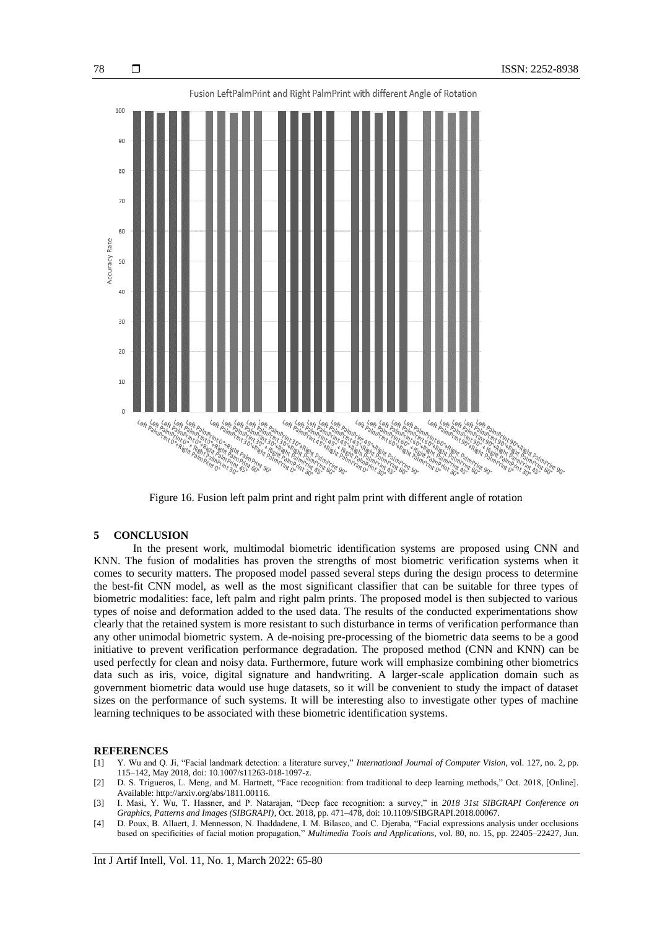

Figure 16. Fusion left palm print and right palm print with different angle of rotation

# **5 CONCLUSION**

In the present work, multimodal biometric identification systems are proposed using CNN and KNN. The fusion of modalities has proven the strengths of most biometric verification systems when it comes to security matters. The proposed model passed several steps during the design process to determine the best-fit CNN model, as well as the most significant classifier that can be suitable for three types of biometric modalities: face, left palm and right palm prints. The proposed model is then subjected to various types of noise and deformation added to the used data. The results of the conducted experimentations show clearly that the retained system is more resistant to such disturbance in terms of verification performance than any other unimodal biometric system. A de-noising pre-processing of the biometric data seems to be a good initiative to prevent verification performance degradation. The proposed method (CNN and KNN) can be used perfectly for clean and noisy data. Furthermore, future work will emphasize combining other biometrics data such as iris, voice, digital signature and handwriting. A larger-scale application domain such as government biometric data would use huge datasets, so it will be convenient to study the impact of dataset sizes on the performance of such systems. It will be interesting also to investigate other types of machine learning techniques to be associated with these biometric identification systems.

# **REFERENCES**

- [1] Y. Wu and Q. Ji, "Facial landmark detection: a literature survey," *International Journal of Computer Vision*, vol. 127, no. 2, pp. 115–142, May 2018, doi: 10.1007/s11263-018-1097-z.
- [2] D. S. Trigueros, L. Meng, and M. Hartnett, "Face recognition: from traditional to deep learning methods," Oct. 2018, [Online]. Available: http://arxiv.org/abs/1811.00116.
- [3] I. Masi, Y. Wu, T. Hassner, and P. Natarajan, "Deep face recognition: a survey," in *2018 31st SIBGRAPI Conference on Graphics, Patterns and Images (SIBGRAPI)*, Oct. 2018, pp. 471–478, doi: 10.1109/SIBGRAPI.2018.00067.
- [4] D. Poux, B. Allaert, J. Mennesson, N. Ihaddadene, I. M. Bilasco, and C. Djeraba, "Facial expressions analysis under occlusions based on specificities of facial motion propagation," *Multimedia Tools and Applications*, vol. 80, no. 15, pp. 22405–22427, Jun.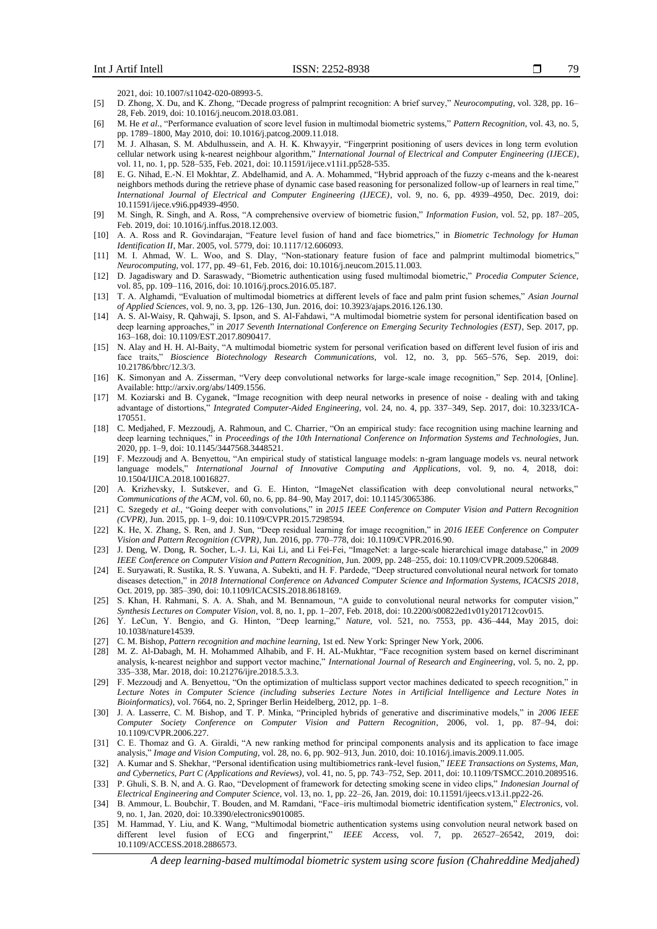2021, doi: 10.1007/s11042-020-08993-5.

- [5] D. Zhong, X. Du, and K. Zhong, "Decade progress of palmprint recognition: A brief survey," *Neurocomputing*, vol. 328, pp. 16– 28, Feb. 2019, doi: 10.1016/j.neucom.2018.03.081.
- [6] M. He *et al.*, "Performance evaluation of score level fusion in multimodal biometric systems," *Pattern Recognition*, vol. 43, no. 5, pp. 1789–1800, May 2010, doi: 10.1016/j.patcog.2009.11.018.
- [7] M. J. Alhasan, S. M. Abdulhussein, and A. H. K. Khwayyir, "Fingerprint positioning of users devices in long term evolution cellular network using k-nearest neighbour algorithm," *International Journal of Electrical and Computer Engineering (IJECE)*, vol. 11, no. 1, pp. 528–535, Feb. 2021, doi: 10.11591/ijece.v11i1.pp528-535.
- [8] E. G. Nihad, E.-N. El Mokhtar, Z. Abdelhamid, and A. A. Mohammed, "Hybrid approach of the fuzzy c-means and the k-nearest neighbors methods during the retrieve phase of dynamic case based reasoning for personalized follow-up of learners in real time," *International Journal of Electrical and Computer Engineering (IJECE)*, vol. 9, no. 6, pp. 4939–4950, Dec. 2019, doi: 10.11591/ijece.v9i6.pp4939-4950.
- [9] M. Singh, R. Singh, and A. Ross, "A comprehensive overview of biometric fusion," *Information Fusion*, vol. 52, pp. 187–205, Feb. 2019, doi: 10.1016/j.inffus.2018.12.003.
- [10] A. A. Ross and R. Govindarajan, "Feature level fusion of hand and face biometrics," in *Biometric Technology for Human Identification II*, Mar. 2005, vol. 5779, doi: 10.1117/12.606093.
- [11] M. I. Ahmad, W. L. Woo, and S. Dlay, "Non-stationary feature fusion of face and palmprint multimodal biometrics," *Neurocomputing*, vol. 177, pp. 49–61, Feb. 2016, doi: 10.1016/j.neucom.2015.11.003.
- [12] D. Jagadiswary and D. Saraswady, "Biometric authentication using fused multimodal biometric," *Procedia Computer Science*, vol. 85, pp. 109–116, 2016, doi: 10.1016/j.procs.2016.05.187.
- [13] T. A. Alghamdi, "Evaluation of multimodal biometrics at different levels of face and palm print fusion schemes," *Asian Journal of Applied Sciences*, vol. 9, no. 3, pp. 126–130, Jun. 2016, doi: 10.3923/ajaps.2016.126.130.
- [14] A. S. Al-Waisy, R. Qahwaji, S. Ipson, and S. Al-Fahdawi, "A multimodal biometrie system for personal identification based on deep learning approaches," in *2017 Seventh International Conference on Emerging Security Technologies (EST)*, Sep. 2017, pp. 163–168, doi: 10.1109/EST.2017.8090417.
- [15] N. Alay and H. H. Al-Baity, "A multimodal biometric system for personal verification based on different level fusion of iris and face traits," *Bioscience Biotechnology Research Communications*, vol. 12, no. 3, pp. 565–576, Sep. 2019, doi: 10.21786/bbrc/12.3/3.
- [16] K. Simonyan and A. Zisserman, "Very deep convolutional networks for large-scale image recognition," Sep. 2014, [Online]. Available: http://arxiv.org/abs/1409.1556.
- [17] M. Koziarski and B. Cyganek, "Image recognition with deep neural networks in presence of noise dealing with and taking advantage of distortions," *Integrated Computer-Aided Engineering*, vol. 24, no. 4, pp. 337–349, Sep. 2017, doi: 10.3233/ICA-170551.
- [18] C. Medjahed, F. Mezzoudj, A. Rahmoun, and C. Charrier, "On an empirical study: face recognition using machine learning and deep learning techniques," in *Proceedings of the 10th International Conference on Information Systems and Technologies*, Jun. 2020, pp. 1–9, doi: 10.1145/3447568.3448521.
- [19] F. Mezzoudj and A. Benyettou, "An empirical study of statistical language models: n-gram language models vs. neural network language models," *International Journal of Innovative Computing and Applications*, vol. 9, no. 4, 2018, doi: 10.1504/IJICA.2018.10016827.
- [20] A. Krizhevsky, I. Sutskever, and G. E. Hinton, "ImageNet classification with deep convolutional neural networks," *Communications of the ACM*, vol. 60, no. 6, pp. 84–90, May 2017, doi: 10.1145/3065386.
- [21] C. Szegedy *et al.*, "Going deeper with convolutions," in *2015 IEEE Conference on Computer Vision and Pattern Recognition (CVPR)*, Jun. 2015, pp. 1–9, doi: 10.1109/CVPR.2015.7298594.
- [22] K. He, X. Zhang, S. Ren, and J. Sun, "Deep residual learning for image recognition," in *2016 IEEE Conference on Computer Vision and Pattern Recognition (CVPR)*, Jun. 2016, pp. 770–778, doi: 10.1109/CVPR.2016.90.
- [23] J. Deng, W. Dong, R. Socher, L.-J. Li, Kai Li, and Li Fei-Fei, "ImageNet: a large-scale hierarchical image database," in *2009 IEEE Conference on Computer Vision and Pattern Recognition*, Jun. 2009, pp. 248–255, doi: 10.1109/CVPR.2009.5206848.
- [24] E. Suryawati, R. Sustika, R. S. Yuwana, A. Subekti, and H. F. Pardede, "Deep structured convolutional neural network for tomato diseases detection," in *2018 International Conference on Advanced Computer Science and Information Systems, ICACSIS 2018*, Oct. 2019, pp. 385–390, doi: 10.1109/ICACSIS.2018.8618169.
- [25] S. Khan, H. Rahmani, S. A. A. Shah, and M. Bennamoun, "A guide to convolutional neural networks for computer vision," *Synthesis Lectures on Computer Vision*, vol. 8, no. 1, pp. 1–207, Feb. 2018, doi: 10.2200/s00822ed1v01y201712cov015.
- [26] Y. LeCun, Y. Bengio, and G. Hinton, "Deep learning," *Nature*, vol. 521, no. 7553, pp. 436–444, May 2015, doi: 10.1038/nature14539.
- [27] C. M. Bishop, *Pattern recognition and machine learning*, 1st ed. New York: Springer New York, 2006.
- [28] M. Z. Al-Dabagh, M. H. Mohammed Alhabib, and F. H. AL-Mukhtar, "Face recognition system based on kernel discriminant analysis, k-nearest neighbor and support vector machine," *International Journal of Research and Engineering*, vol. 5, no. 2, pp. 335–338, Mar. 2018, doi: 10.21276/ijre.2018.5.3.3.
- [29] F. Mezzoudj and A. Benyettou, "On the optimization of multiclass support vector machines dedicated to speech recognition," in *Lecture Notes in Computer Science (including subseries Lecture Notes in Artificial Intelligence and Lecture Notes in Bioinformatics)*, vol. 7664, no. 2, Springer Berlin Heidelberg, 2012, pp. 1–8.
- [30] J. A. Lasserre, C. M. Bishop, and T. P. Minka, "Principled hybrids of generative and discriminative models," in *2006 IEEE Computer Society Conference on Computer Vision and Pattern Recognition*, 2006, vol. 1, pp. 87–94, doi: 10.1109/CVPR.2006.227.
- [31] C. E. Thomaz and G. A. Giraldi, "A new ranking method for principal components analysis and its application to face image analysis," *Image and Vision Computing*, vol. 28, no. 6, pp. 902–913, Jun. 2010, doi: 10.1016/j.imavis.2009.11.005.
- [32] A. Kumar and S. Shekhar, "Personal identification using multibiometrics rank-level fusion," *IEEE Transactions on Systems, Man, and Cybernetics, Part C (Applications and Reviews)*, vol. 41, no. 5, pp. 743–752, Sep. 2011, doi: 10.1109/TSMCC.2010.2089516.
- [33] P. Ghuli, S. B. N, and A. G. Rao, "Development of framework for detecting smoking scene in video clips," *Indonesian Journal of Electrical Engineering and Computer Science*, vol. 13, no. 1, pp. 22–26, Jan. 2019, doi: 10.11591/ijeecs.v13.i1.pp22-26.
- [34] B. Ammour, L. Boubchir, T. Bouden, and M. Ramdani, "Face–iris multimodal biometric identification system," *Electronics*, vol. 9, no. 1, Jan. 2020, doi: 10.3390/electronics9010085.
- [35] M. Hammad, Y. Liu, and K. Wang, "Multimodal biometric authentication systems using convolution neural network based on different level fusion of ECG and fingerprint," *IEEE Access*, vol. 7, pp. 26527–26542, 2019, doi: 10.1109/ACCESS.2018.2886573.

*A deep learning-based multimodal biometric system using score fusion (Chahreddine Medjahed)*